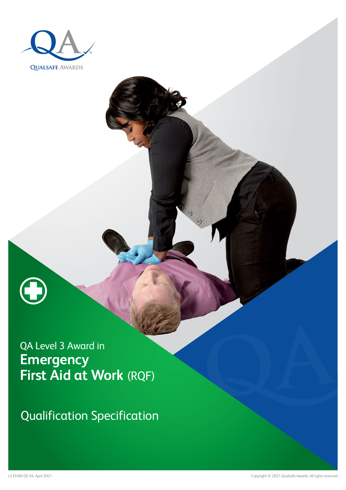



QA Level 3 Award in **Emergency First Aid at Work** (RQF)

Qualification Specification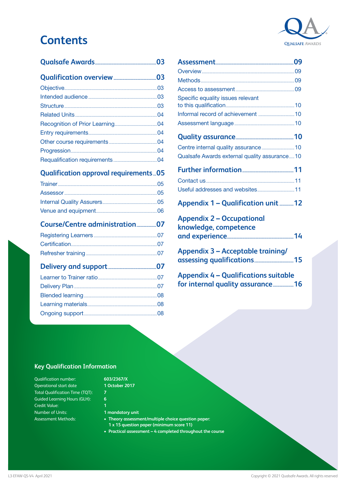# **Contents**



## **[Qualification approval requirements...05](#page-4-0)**

### **[Course/Centre administration..................07](#page-6-0)**

## **[Delivery and support............................................07](#page-6-0)**

| Specific equality issues relevant                                                                                                                                                                                                                                                                |  |
|--------------------------------------------------------------------------------------------------------------------------------------------------------------------------------------------------------------------------------------------------------------------------------------------------|--|
|                                                                                                                                                                                                                                                                                                  |  |
|                                                                                                                                                                                                                                                                                                  |  |
|                                                                                                                                                                                                                                                                                                  |  |
|                                                                                                                                                                                                                                                                                                  |  |
| Qualsafe Awards external quality assurance10                                                                                                                                                                                                                                                     |  |
|                                                                                                                                                                                                                                                                                                  |  |
|                                                                                                                                                                                                                                                                                                  |  |
|                                                                                                                                                                                                                                                                                                  |  |
| Appendix 1 - Qualification unit 12                                                                                                                                                                                                                                                               |  |
| <b>Appendix 2 - Occupational</b><br>knowledge, competence                                                                                                                                                                                                                                        |  |
|                                                                                                                                                                                                                                                                                                  |  |
| <b>Appendix 3 - Acceptable training/</b>                                                                                                                                                                                                                                                         |  |
| $\mathbf{A}$ and $\mathbf{A}$ are $\mathbf{A}$ and $\mathbf{A}$ and $\mathbf{A}$ are $\mathbf{A}$ and $\mathbf{A}$ are $\mathbf{A}$ and $\mathbf{A}$ are $\mathbf{A}$ and $\mathbf{A}$ are $\mathbf{A}$ and $\mathbf{A}$ are $\mathbf{A}$ and $\mathbf{A}$ are $\mathbf{A}$ and $\mathbf{A}$ are |  |

**[Appendix 4 – Qualifications suitable](#page-15-0)  [for internal quality assurance...................16](#page-15-0)**

### **Key Qualification Information**

Qualification number: Operational start date Total Qualification Time (TQT): Guided Learning Hours (GLH): Credit Value: Number of Units: Assessment Methods:

## **603/2367/X**

**1 October 2017**

- **6**
- **1 mandatory unit**
- **Theory assessment/multiple choice question paper: 1 x 15 question paper (minimum score 11)**
- **• Practical assessment 4 completed throughout the course**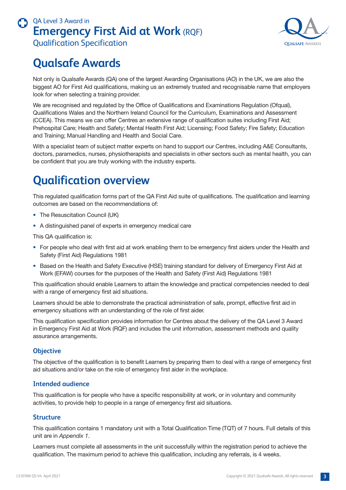

# <span id="page-2-0"></span>**Qualsafe Awards**

Not only is Qualsafe Awards (QA) one of the largest Awarding Organisations (AO) in the UK, we are also the biggest AO for First Aid qualifications, making us an extremely trusted and recognisable name that employers look for when selecting a training provider.

We are recognised and regulated by the Office of Qualifications and Examinations Regulation (Ofqual), Qualifications Wales and the Northern Ireland Council for the Curriculum, Examinations and Assessment (CCEA). This means we can offer Centres an extensive range of qualification suites including First Aid; Prehospital Care; Health and Safety; Mental Health First Aid; Licensing; Food Safety; Fire Safety; Education and Training; Manual Handling and Health and Social Care.

With a specialist team of subject matter experts on hand to support our Centres, including A&E Consultants, doctors, paramedics, nurses, physiotherapists and specialists in other sectors such as mental health, you can be confident that you are truly working with the industry experts.

# **Qualification overview**

This regulated qualification forms part of the QA First Aid suite of qualifications. The qualification and learning outcomes are based on the recommendations of:

- The Resuscitation Council (UK)
- A distinguished panel of experts in emergency medical care

This QA qualification is:

- For people who deal with first aid at work enabling them to be emergency first aiders under the Health and Safety (First Aid) Regulations 1981
- Based on the Health and Safety Executive (HSE) training standard for delivery of Emergency First Aid at Work (EFAW) courses for the purposes of the Health and Safety (First Aid) Regulations 1981

This qualification should enable Learners to attain the knowledge and practical competencies needed to deal with a range of emergency first aid situations.

Learners should be able to demonstrate the practical administration of safe, prompt, effective first aid in emergency situations with an understanding of the role of first aider.

This qualification specification provides information for Centres about the delivery of the QA Level 3 Award in Emergency First Aid at Work (RQF) and includes the unit information, assessment methods and quality assurance arrangements.

### **Objective**

The objective of the qualification is to benefit Learners by preparing them to deal with a range of emergency first aid situations and/or take on the role of emergency first aider in the workplace.

### **Intended audience**

This qualification is for people who have a specific responsibility at work, or in voluntary and community activities, to provide help to people in a range of emergency first aid situations.

### **Structure**

This qualification contains 1 mandatory unit with a Total Qualification Time (TQT) of 7 hours. Full details of this unit are in *Appendix 1*.

Learners must complete all assessments in the unit successfully within the registration period to achieve the qualification. The maximum period to achieve this qualification, including any referrals, is 4 weeks.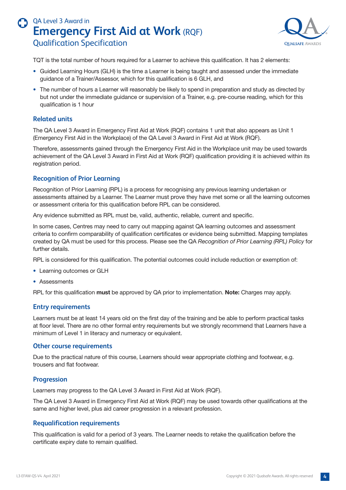

<span id="page-3-0"></span>TQT is the total number of hours required for a Learner to achieve this qualification. It has 2 elements:

- Guided Learning Hours (GLH) is the time a Learner is being taught and assessed under the immediate guidance of a Trainer/Assessor, which for this qualification is 6 GLH, and
- The number of hours a Learner will reasonably be likely to spend in preparation and study as directed by but not under the immediate guidance or supervision of a Trainer, e.g. pre-course reading, which for this qualification is 1 hour

### **Related units**

The QA Level 3 Award in Emergency First Aid at Work (RQF) contains 1 unit that also appears as Unit 1 (Emergency First Aid in the Workplace) of the QA Level 3 Award in First Aid at Work (RQF).

Therefore, assessments gained through the Emergency First Aid in the Workplace unit may be used towards achievement of the QA Level 3 Award in First Aid at Work (RQF) qualification providing it is achieved within its registration period.

### **Recognition of Prior Learning**

Recognition of Prior Learning (RPL) is a process for recognising any previous learning undertaken or assessments attained by a Learner. The Learner must prove they have met some or all the learning outcomes or assessment criteria for this qualification before RPL can be considered.

Any evidence submitted as RPL must be, valid, authentic, reliable, current and specific.

In some cases, Centres may need to carry out mapping against QA learning outcomes and assessment criteria to confirm comparability of qualification certificates or evidence being submitted. Mapping templates created by QA must be used for this process. Please see the QA *Recognition of Prior Learning (RPL) Policy* for further details.

RPL is considered for this qualification. The potential outcomes could include reduction or exemption of:

- Learning outcomes or GLH
- Assessments

RPL for this qualification **must** be approved by QA prior to implementation. **Note:** Charges may apply.

#### **Entry requirements**

Learners must be at least 14 years old on the first day of the training and be able to perform practical tasks at floor level. There are no other formal entry requirements but we strongly recommend that Learners have a minimum of Level 1 in literacy and numeracy or equivalent.

#### **Other course requirements**

Due to the practical nature of this course, Learners should wear appropriate clothing and footwear, e.g. trousers and flat footwear.

#### **Progression**

Learners may progress to the QA Level 3 Award in First Aid at Work (RQF).

The QA Level 3 Award in Emergency First Aid at Work (RQF) may be used towards other qualifications at the same and higher level, plus aid career progression in a relevant profession.

#### **Requalification requirements**

This qualification is valid for a period of 3 years. The Learner needs to retake the qualification before the certificate expiry date to remain qualified.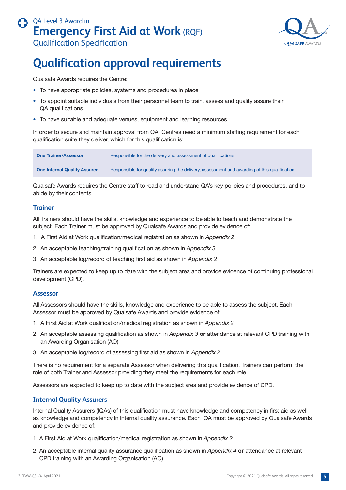

# <span id="page-4-0"></span>**Qualification approval requirements**

Qualsafe Awards requires the Centre:

- To have appropriate policies, systems and procedures in place
- To appoint suitable individuals from their personnel team to train, assess and quality assure their QA qualifications
- To have suitable and adequate venues, equipment and learning resources

In order to secure and maintain approval from QA, Centres need a minimum staffing requirement for each qualification suite they deliver, which for this qualification is:

| <b>One Trainer/Assessor</b>         | Responsible for the delivery and assessment of qualifications                                |
|-------------------------------------|----------------------------------------------------------------------------------------------|
| <b>One Internal Quality Assurer</b> | Responsible for quality assuring the delivery, assessment and awarding of this qualification |

Qualsafe Awards requires the Centre staff to read and understand QA's key policies and procedures, and to abide by their contents.

### **Trainer**

All Trainers should have the skills, knowledge and experience to be able to teach and demonstrate the subject. Each Trainer must be approved by Qualsafe Awards and provide evidence of:

- 1. A First Aid at Work qualification/medical registration as shown in *Appendix 2*
- 2. An acceptable teaching/training qualification as shown in *Appendix 3*
- 3. An acceptable log/record of teaching first aid as shown in *Appendix 2*

Trainers are expected to keep up to date with the subject area and provide evidence of continuing professional development (CPD).

#### **Assessor**

All Assessors should have the skills, knowledge and experience to be able to assess the subject. Each Assessor must be approved by Qualsafe Awards and provide evidence of:

- 1. A First Aid at Work qualification/medical registration as shown in *Appendix 2*
- 2. An acceptable assessing qualification as shown in *Appendix 3* **or** attendance at relevant CPD training with an Awarding Organisation (AO)
- 3. An acceptable log/record of assessing first aid as shown in *Appendix 2*

There is no requirement for a separate Assessor when delivering this qualification. Trainers can perform the role of both Trainer and Assessor providing they meet the requirements for each role.

Assessors are expected to keep up to date with the subject area and provide evidence of CPD.

### **Internal Quality Assurers**

Internal Quality Assurers (IQAs) of this qualification must have knowledge and competency in first aid as well as knowledge and competency in internal quality assurance. Each IQA must be approved by Qualsafe Awards and provide evidence of:

- 1. A First Aid at Work qualification/medical registration as shown in *Appendix 2*
- 2. An acceptable internal quality assurance qualification as shown in *Appendix 4* **or** attendance at relevant CPD training with an Awarding Organisation (AO)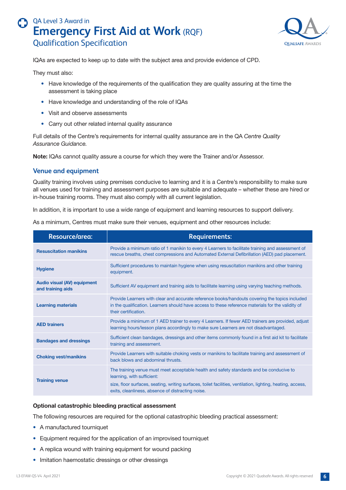

<span id="page-5-0"></span>IQAs are expected to keep up to date with the subject area and provide evidence of CPD.

They must also:

- Have knowledge of the requirements of the qualification they are quality assuring at the time the assessment is taking place
- Have knowledge and understanding of the role of IQAs
- Visit and observe assessments
- Carry out other related internal quality assurance

Full details of the Centre's requirements for internal quality assurance are in the QA *Centre Quality Assurance Guidance.* 

**Note:** IQAs cannot quality assure a course for which they were the Trainer and/or Assessor.

#### **Venue and equipment**

Quality training involves using premises conducive to learning and it is a Centre's responsibility to make sure all venues used for training and assessment purposes are suitable and adequate – whether these are hired or in-house training rooms. They must also comply with all current legislation.

In addition, it is important to use a wide range of equipment and learning resources to support delivery.

As a minimum, Centres must make sure their venues, equipment and other resources include:

| Resource/area:                                          | <b>Requirements:</b>                                                                                                                                                                                                                                                                      |
|---------------------------------------------------------|-------------------------------------------------------------------------------------------------------------------------------------------------------------------------------------------------------------------------------------------------------------------------------------------|
| <b>Resuscitation manikins</b>                           | Provide a minimum ratio of 1 manikin to every 4 Learners to facilitate training and assessment of<br>rescue breaths, chest compressions and Automated External Defibrillation (AED) pad placement.                                                                                        |
| <b>Hygiene</b>                                          | Sufficient procedures to maintain hygiene when using resuscitation manikins and other training<br>equipment.                                                                                                                                                                              |
| <b>Audio visual (AV) equipment</b><br>and training aids | Sufficient AV equipment and training aids to facilitate learning using varying teaching methods.                                                                                                                                                                                          |
| <b>Learning materials</b>                               | Provide Learners with clear and accurate reference books/handouts covering the topics included<br>in the qualification. Learners should have access to these reference materials for the validity of<br>their certification.                                                              |
| <b>AED trainers</b>                                     | Provide a minimum of 1 AED trainer to every 4 Learners. If fewer AED trainers are provided, adjust<br>learning hours/lesson plans accordingly to make sure Learners are not disadvantaged.                                                                                                |
| <b>Bandages and dressings</b>                           | Sufficient clean bandages, dressings and other items commonly found in a first aid kit to facilitate<br>training and assessment.                                                                                                                                                          |
| <b>Choking vest/manikins</b>                            | Provide Learners with suitable choking vests or manikins to facilitate training and assessment of<br>back blows and abdominal thrusts.                                                                                                                                                    |
| <b>Training venue</b>                                   | The training venue must meet acceptable health and safety standards and be conducive to<br>learning, with sufficient:<br>size, floor surfaces, seating, writing surfaces, toilet facilities, ventilation, lighting, heating, access,<br>exits, cleanliness, absence of distracting noise. |

#### **Optional catastrophic bleeding practical assessment**

The following resources are required for the optional catastrophic bleeding practical assessment:

- A manufactured tourniquet
- Equipment required for the application of an improvised tourniquet
- A replica wound with training equipment for wound packing
- Imitation haemostatic dressings or other dressings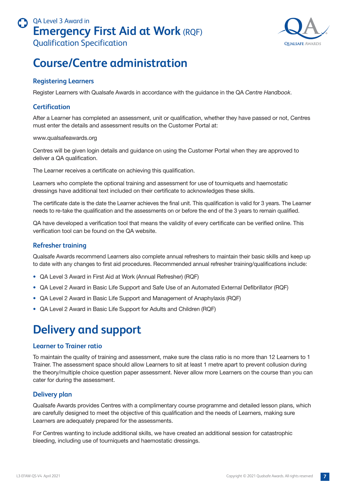

# <span id="page-6-0"></span>**Course/Centre administration**

### **Registering Learners**

Register Learners with Qualsafe Awards in accordance with the guidance in the QA *Centre Handbook*.

### **Certification**

After a Learner has completed an assessment, unit or qualification, whether they have passed or not, Centres must enter the details and assessment results on the Customer Portal at:

www.qualsafeawards.org

Centres will be given login details and guidance on using the Customer Portal when they are approved to deliver a QA qualification.

The Learner receives a certificate on achieving this qualification.

Learners who complete the optional training and assessment for use of tourniquets and haemostatic dressings have additional text included on their certificate to acknowledges these skills.

The certificate date is the date the Learner achieves the final unit. This qualification is valid for 3 years. The Learner needs to re-take the qualification and the assessments on or before the end of the 3 years to remain qualified.

QA have developed a verification tool that means the validity of every certificate can be verified online. This verification tool can be found on the QA website.

### **Refresher training**

Qualsafe Awards recommend Learners also complete annual refreshers to maintain their basic skills and keep up to date with any changes to first aid procedures. Recommended annual refresher training/qualifications include:

- QA Level 3 Award in First Aid at Work (Annual Refresher) (RQF)
- QA Level 2 Award in Basic Life Support and Safe Use of an Automated External Defibrillator (RQF)
- QA Level 2 Award in Basic Life Support and Management of Anaphylaxis (RQF)
- QA Level 2 Award in Basic Life Support for Adults and Children (RQF)

# **Delivery and support**

#### **Learner to Trainer ratio**

To maintain the quality of training and assessment, make sure the class ratio is no more than 12 Learners to 1 Trainer. The assessment space should allow Learners to sit at least 1 metre apart to prevent collusion during the theory/multiple choice question paper assessment. Never allow more Learners on the course than you can cater for during the assessment.

### **Delivery plan**

Qualsafe Awards provides Centres with a complimentary course programme and detailed lesson plans, which are carefully designed to meet the objective of this qualification and the needs of Learners, making sure Learners are adequately prepared for the assessments.

For Centres wanting to include additional skills, we have created an additional session for catastrophic bleeding, including use of tourniquets and haemostatic dressings.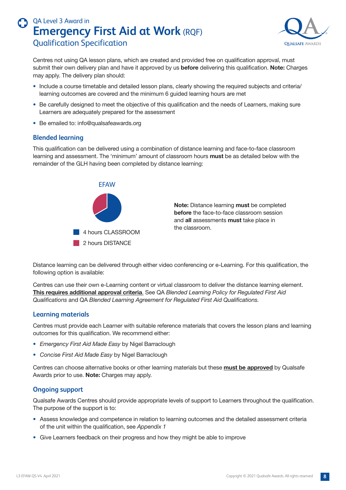

<span id="page-7-0"></span>Centres not using QA lesson plans, which are created and provided free on qualification approval, must submit their own delivery plan and have it approved by us **before** delivering this qualification. **Note:** Charges may apply. The delivery plan should:

- Include a course timetable and detailed lesson plans, clearly showing the required subjects and criteria/ learning outcomes are covered and the minimum 6 guided learning hours are met
- Be carefully designed to meet the objective of this qualification and the needs of Learners, making sure Learners are adequately prepared for the assessment
- Be emailed to: info@qualsafeawards.org

### **Blended learning**

This qualification can be delivered using a combination of distance learning and face-to-face classroom learning and assessment. The 'minimum' amount of classroom hours **must** be as detailed below with the remainder of the GLH having been completed by distance learning:



**Note:** Distance learning **must** be completed **before** the face-to-face classroom session and **all** assessments **must** take place in the classroom.

Distance learning can be delivered through either video conferencing or e-Learning. For this qualification, the following option is available:

Centres can use their own e-Learning content or virtual classroom to deliver the distance learning element. **This requires additional approval criteria**. See QA *Blended Learning Policy for Regulated First Aid Qualifications* and QA *Blended Learning Agreement for Regulated First Aid Qualifications.*

### **Learning materials**

Centres must provide each Learner with suitable reference materials that covers the lesson plans and learning outcomes for this qualification. We recommend either:

- *Emergency First Aid Made Easy* by Nigel Barraclough
- *Concise First Aid Made Easy* by Nigel Barraclough

Centres can choose alternative books or other learning materials but these **must be approved** by Qualsafe Awards prior to use. **Note:** Charges may apply.

### **Ongoing support**

Qualsafe Awards Centres should provide appropriate levels of support to Learners throughout the qualification. The purpose of the support is to:

- Assess knowledge and competence in relation to learning outcomes and the detailed assessment criteria of the unit within the qualification, see *Appendix 1*
- Give Learners feedback on their progress and how they might be able to improve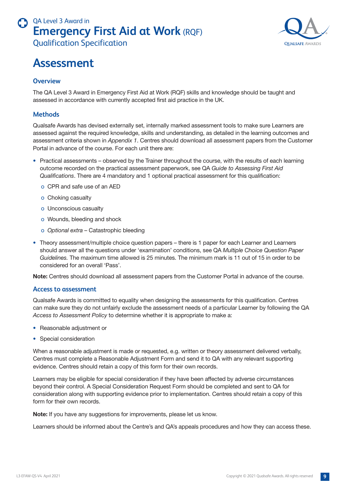<span id="page-8-0"></span>

### **Overview**

The QA Level 3 Award in Emergency First Aid at Work (RQF) skills and knowledge should be taught and assessed in accordance with currently accepted first aid practice in the UK.

### **Methods**

Qualsafe Awards has devised externally set, internally marked assessment tools to make sure Learners are assessed against the required knowledge, skills and understanding, as detailed in the learning outcomes and assessment criteria shown in *Appendix 1*. Centres should download all assessment papers from the Customer Portal in advance of the course. For each unit there are:

- Practical assessments observed by the Trainer throughout the course, with the results of each learning outcome recorded on the practical assessment paperwork, see QA *Guide to Assessing First Aid Qualifications*. There are 4 mandatory and 1 optional practical assessment for this qualification:
	- o CPR and safe use of an AED
	- o Choking casualty
	- o Unconscious casualty
	- o Wounds, bleeding and shock
	- o *Optional extra* Catastrophic bleeding
- Theory assessment/multiple choice question papers there is 1 paper for each Learner and Learners should answer all the questions under 'examination' conditions, see QA *Multiple Choice Question Paper Guidelines.* The maximum time allowed is 25 minutes. The minimum mark is 11 out of 15 in order to be considered for an overall 'Pass'.

**Note:** Centres should download all assessment papers from the Customer Portal in advance of the course.

#### **Access to assessment**

Qualsafe Awards is committed to equality when designing the assessments for this qualification. Centres can make sure they do not unfairly exclude the assessment needs of a particular Learner by following the QA *Access to Assessment Policy* to determine whether it is appropriate to make a:

- Reasonable adjustment or
- Special consideration

When a reasonable adjustment is made or requested, e.g. written or theory assessment delivered verbally, Centres must complete a Reasonable Adjustment Form and send it to QA with any relevant supporting evidence. Centres should retain a copy of this form for their own records.

Learners may be eligible for special consideration if they have been affected by adverse circumstances beyond their control. A Special Consideration Request Form should be completed and sent to QA for consideration along with supporting evidence prior to implementation. Centres should retain a copy of this form for their own records.

**Note:** If you have any suggestions for improvements, please let us know.

Learners should be informed about the Centre's and QA's appeals procedures and how they can access these.

**OUALSAFE AWARDS**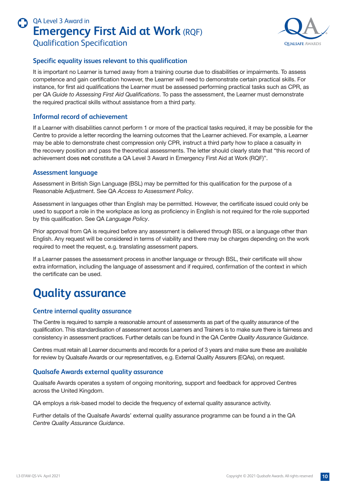

### <span id="page-9-0"></span>**Specific equality issues relevant to this qualification**

It is important no Learner is turned away from a training course due to disabilities or impairments. To assess competence and gain certification however, the Learner will need to demonstrate certain practical skills. For instance, for first aid qualifications the Learner must be assessed performing practical tasks such as CPR, as per QA *Guide to Assessing First Aid Qualifications*. To pass the assessment, the Learner must demonstrate the required practical skills without assistance from a third party.

### **Informal record of achievement**

If a Learner with disabilities cannot perform 1 or more of the practical tasks required, it may be possible for the Centre to provide a letter recording the learning outcomes that the Learner achieved. For example, a Learner may be able to demonstrate chest compression only CPR, instruct a third party how to place a casualty in the recovery position and pass the theoretical assessments. The letter should clearly state that "this record of achievement does **not** constitute a QA Level 3 Award in Emergency First Aid at Work (RQF)".

### **Assessment language**

Assessment in British Sign Language (BSL) may be permitted for this qualification for the purpose of a Reasonable Adjustment. See QA *Access to Assessment Policy*.

Assessment in languages other than English may be permitted. However, the certificate issued could only be used to support a role in the workplace as long as proficiency in English is not required for the role supported by this qualification. See QA *Language Policy*.

Prior approval from QA is required before any assessment is delivered through BSL or a language other than English. Any request will be considered in terms of viability and there may be charges depending on the work required to meet the request, e.g. translating assessment papers.

If a Learner passes the assessment process in another language or through BSL, their certificate will show extra information, including the language of assessment and if required, confirmation of the context in which the certificate can be used.

# **Quality assurance**

### **Centre internal quality assurance**

The Centre is required to sample a reasonable amount of assessments as part of the quality assurance of the qualification. This standardisation of assessment across Learners and Trainers is to make sure there is fairness and consistency in assessment practices. Further details can be found in the QA *Centre Quality Assurance Guidance*.

Centres must retain all Learner documents and records for a period of 3 years and make sure these are available for review by Qualsafe Awards or our representatives, e.g. External Quality Assurers (EQAs), on request.

### **Qualsafe Awards external quality assurance**

Qualsafe Awards operates a system of ongoing monitoring, support and feedback for approved Centres across the United Kingdom.

QA employs a risk-based model to decide the frequency of external quality assurance activity.

Further details of the Qualsafe Awards' external quality assurance programme can be found a in the QA *Centre Quality Assurance Guidance*.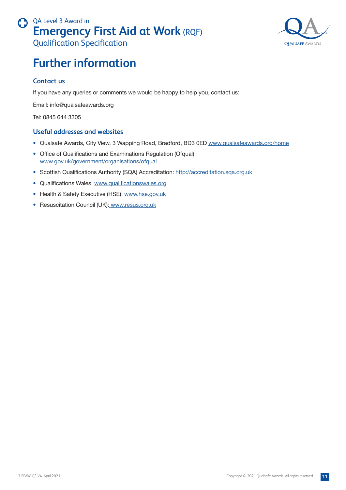

# <span id="page-10-0"></span>**Further information**

### **Contact us**

If you have any queries or comments we would be happy to help you, contact us:

Email: info@qualsafeawards.org

Tel: 0845 644 3305

### **Useful addresses and websites**

- Qualsafe Awards, City View, 3 Wapping Road, Bradford, BD3 0ED www.qualsafeawards.org/home
- Office of Qualifications and Examinations Regulation (Ofqual): www.gov.uk/government/organisations/ofqual
- Scottish Qualifications Authority (SQA) Accreditation: http://accreditation.sqa.org.uk
- Qualifications Wales: www.qualificationswales.org
- Health & Safety Executive (HSE): www.hse.gov.uk
- Resuscitation Council (UK): www.resus.org.uk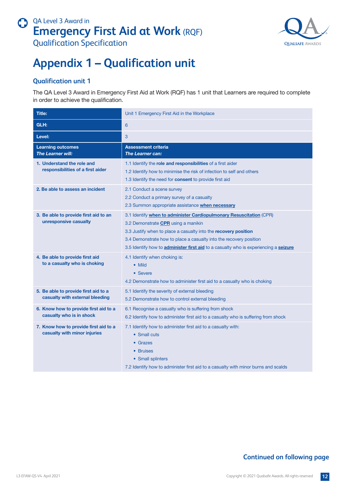

# <span id="page-11-0"></span>**Appendix 1 – Qualification unit**

## **Qualification unit 1**

The QA Level 3 Award in Emergency First Aid at Work (RQF) has 1 unit that Learners are required to complete in order to achieve the qualification.

| <b>Title:</b>                                                           | Unit 1 Emergency First Aid in the Workplace                                                                                                                                                                                                                                                                                                               |
|-------------------------------------------------------------------------|-----------------------------------------------------------------------------------------------------------------------------------------------------------------------------------------------------------------------------------------------------------------------------------------------------------------------------------------------------------|
| GLH:                                                                    | 6                                                                                                                                                                                                                                                                                                                                                         |
| Level:                                                                  | 3                                                                                                                                                                                                                                                                                                                                                         |
| <b>Learning outcomes</b><br><b>The Learner will:</b>                    | <b>Assessment criteria</b><br><b>The Learner can:</b>                                                                                                                                                                                                                                                                                                     |
| 1. Understand the role and<br>responsibilities of a first aider         | 1.1 Identify the role and responsibilities of a first aider<br>1.2 Identify how to minimise the risk of infection to self and others<br>1.3 Identify the need for <b>consent</b> to provide first aid                                                                                                                                                     |
| 2. Be able to assess an incident                                        | 2.1 Conduct a scene survey<br>2.2 Conduct a primary survey of a casualty<br>2.3 Summon appropriate assistance when necessary                                                                                                                                                                                                                              |
| 3. Be able to provide first aid to an<br>unresponsive casualty          | 3.1 Identify when to administer Cardiopulmonary Resuscitation (CPR)<br>3.2 Demonstrate CPR using a manikin<br>3.3 Justify when to place a casualty into the recovery position<br>3.4 Demonstrate how to place a casualty into the recovery position<br>3.5 Identify how to <b>administer first aid</b> to a casualty who is experiencing a <b>seizure</b> |
| 4. Be able to provide first aid<br>to a casualty who is choking         | 4.1 Identify when choking is:<br>• Mild<br>• Severe<br>4.2 Demonstrate how to administer first aid to a casualty who is choking                                                                                                                                                                                                                           |
| 5. Be able to provide first aid to a<br>casualty with external bleeding | 5.1 Identify the severity of external bleeding<br>5.2 Demonstrate how to control external bleeding                                                                                                                                                                                                                                                        |
| 6. Know how to provide first aid to a<br>casualty who is in shock       | 6.1 Recognise a casualty who is suffering from shock<br>6.2 Identify how to administer first aid to a casualty who is suffering from shock                                                                                                                                                                                                                |
| 7. Know how to provide first aid to a<br>casualty with minor injuries   | 7.1 Identify how to administer first aid to a casualty with:<br>• Small cuts<br>$\bullet$ Grazes<br>• Bruises<br>• Small splinters<br>7.2 Identify how to administer first aid to a casualty with minor burns and scalds                                                                                                                                  |

## **Continued on following page**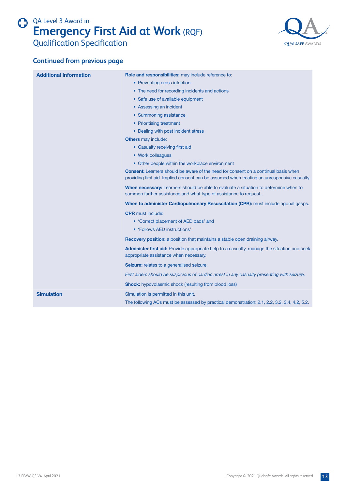

### **Continued from previous page**

| <b>Additional Information</b> | Role and responsibilities: may include reference to:                                                                                                                                      |
|-------------------------------|-------------------------------------------------------------------------------------------------------------------------------------------------------------------------------------------|
|                               | • Preventing cross infection                                                                                                                                                              |
|                               | • The need for recording incidents and actions                                                                                                                                            |
|                               | • Safe use of available equipment                                                                                                                                                         |
|                               | • Assessing an incident                                                                                                                                                                   |
|                               | • Summoning assistance                                                                                                                                                                    |
|                               | • Prioritising treatment                                                                                                                                                                  |
|                               | • Dealing with post incident stress                                                                                                                                                       |
|                               | <b>Others</b> may include:                                                                                                                                                                |
|                               | • Casualty receiving first aid                                                                                                                                                            |
|                               | • Work colleagues                                                                                                                                                                         |
|                               | • Other people within the workplace environment                                                                                                                                           |
|                               | <b>Consent:</b> Learners should be aware of the need for consent on a continual basis when<br>providing first aid. Implied consent can be assumed when treating an unresponsive casualty. |
|                               | When necessary: Learners should be able to evaluate a situation to determine when to<br>summon further assistance and what type of assistance to request.                                 |
|                               | When to administer Cardiopulmonary Resuscitation (CPR): must include agonal gasps.                                                                                                        |
|                               | <b>CPR</b> must include:                                                                                                                                                                  |
|                               | • 'Correct placement of AED pads' and                                                                                                                                                     |
|                               | • 'Follows AED instructions'                                                                                                                                                              |
|                               | <b>Recovery position:</b> a position that maintains a stable open draining airway.                                                                                                        |
|                               | <b>Administer first aid:</b> Provide appropriate help to a casualty, manage the situation and seek<br>appropriate assistance when necessary.                                              |
|                               | Seizure: relates to a generalised seizure.                                                                                                                                                |
|                               | First aiders should be suspicious of cardiac arrest in any casualty presenting with seizure.                                                                                              |
|                               | <b>Shock:</b> hypovolaemic shock (resulting from blood loss)                                                                                                                              |
| <b>Simulation</b>             | Simulation is permitted in this unit.                                                                                                                                                     |
|                               | The following ACs must be assessed by practical demonstration: 2.1, 2.2, 3.2, 3.4, 4.2, 5.2.                                                                                              |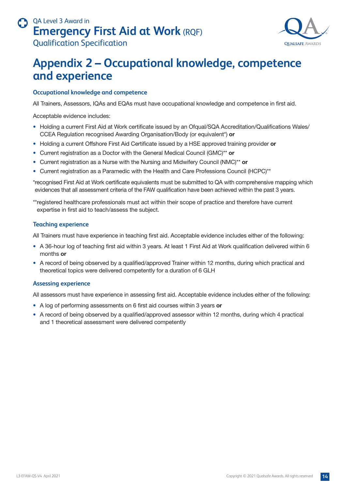# <span id="page-13-0"></span>QA Level 3 Award in **Emergency First Aid at Work** (RQF)



## Qualification Specification

# **Appendix 2 – Occupational knowledge, competence and experience**

### **Occupational knowledge and competence**

All Trainers, Assessors, IQAs and EQAs must have occupational knowledge and competence in first aid.

Acceptable evidence includes:

- Holding a current First Aid at Work certificate issued by an Ofqual/SQA Accreditation/Qualifications Wales/ CCEA Regulation recognised Awarding Organisation/Body (or equivalent\*) **or**
- Holding a current Offshore First Aid Certificate issued by a HSE approved training provider **or**
- Current registration as a Doctor with the General Medical Council (GMC)\*\* **or**
- Current registration as a Nurse with the Nursing and Midwifery Council (NMC)\*\* **or**
- Current registration as a Paramedic with the Health and Care Professions Council (HCPC)\*\*

\*recognised First Aid at Work certificate equivalents must be submitted to QA with comprehensive mapping which evidences that all assessment criteria of the FAW qualification have been achieved within the past 3 years.

\*\*registered healthcare professionals must act within their scope of practice and therefore have current expertise in first aid to teach/assess the subject.

#### **Teaching experience**

All Trainers must have experience in teaching first aid. Acceptable evidence includes either of the following:

- A 36-hour log of teaching first aid within 3 years. At least 1 First Aid at Work qualification delivered within 6 months **or**
- A record of being observed by a qualified/approved Trainer within 12 months, during which practical and theoretical topics were delivered competently for a duration of 6 GLH

#### **Assessing experience**

All assessors must have experience in assessing first aid. Acceptable evidence includes either of the following:

- A log of performing assessments on 6 first aid courses within 3 years **or**
- A record of being observed by a qualified/approved assessor within 12 months, during which 4 practical and 1 theoretical assessment were delivered competently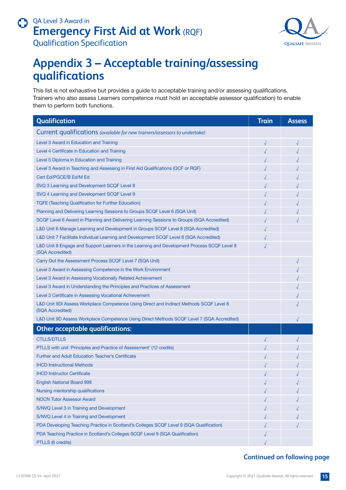

# <span id="page-14-0"></span>**Appendix 3 – Acceptable training/assessing qualifications**

This list is not exhaustive but provides a guide to acceptable training and/or assessing qualifications. Trainers who also assess Learners competence must hold an acceptable assessor qualification) to enable them to perform both functions.

| Qualification                                                                                                   | <b>Train</b> | <b>Assess</b> |
|-----------------------------------------------------------------------------------------------------------------|--------------|---------------|
| Current qualifications (available for new trainers/assessors to undertake):                                     |              |               |
| Level 3 Award in Education and Training                                                                         | $\sqrt{}$    | $\sqrt{ }$    |
| Level 4 Certificate in Education and Training                                                                   |              |               |
| Level 5 Diploma in Education and Training                                                                       |              |               |
| Level 3 Award in Teaching and Assessing in First Aid Qualifications (QCF or RQF)                                |              |               |
| Cert Ed/PGCE/B Ed/M Ed                                                                                          |              |               |
| SVQ 3 Learning and Development SCQF Level 8                                                                     |              |               |
| SVQ 4 Learning and Development SCQF Level 9                                                                     |              |               |
| <b>TQFE (Teaching Qualification for Further Education)</b>                                                      |              |               |
| Planning and Delivering Learning Sessions to Groups SCQF Level 6 (SQA Unit)                                     |              |               |
| SCQF Level 6 Award in Planning and Delivering Learning Sessions to Groups (SQA Accredited)                      |              |               |
| L&D Unit 6 Manage Learning and Development in Groups SCQF Level 8 (SQA Accredited)                              |              |               |
| L&D Unit 7 Facilitate Individual Learning and Development SCQF Level 8 (SQA Accredited)                         |              |               |
| L&D Unit 8 Engage and Support Learners in the Learning and Development Process SCQF Level 8<br>(SQA Accredited) |              |               |
| Carry Out the Assessment Process SCQF Level 7 (SQA Unit)                                                        |              |               |
| Level 3 Award in Assessing Competence in the Work Environment                                                   |              |               |
| Level 3 Award in Assessing Vocationally Related Achievement                                                     |              |               |
| Level 3 Award in Understanding the Principles and Practices of Assessment                                       |              |               |
| Level 3 Certificate in Assessing Vocational Achievement                                                         |              |               |
| L&D Unit 9DI Assess Workplace Competence Using Direct and Indirect Methods SCQF Level 8<br>(SQA Accredited)     |              |               |
| L&D Unit 9D Assess Workplace Competence Using Direct Methods SCQF Level 7 (SQA Accredited)                      |              |               |
| <b>Other acceptable qualifications:</b>                                                                         |              |               |
| <b>CTLLS/DTLLS</b>                                                                                              |              |               |
| PTLLS with unit 'Principles and Practice of Assessment' (12 credits)                                            |              |               |
| <b>Further and Adult Education Teacher's Certificate</b>                                                        |              |               |
| <b>IHCD Instructional Methods</b>                                                                               |              |               |
| <b>IHCD Instructor Certificate</b>                                                                              |              |               |
| <b>English National Board 998</b>                                                                               |              |               |
| Nursing mentorship qualifications                                                                               |              |               |
| <b>NOCN Tutor Assessor Award</b>                                                                                |              |               |
| S/NVQ Level 3 in Training and Development                                                                       |              |               |
| S/NVQ Level 4 in Training and Development                                                                       |              |               |
| PDA Developing Teaching Practice in Scotland's Colleges SCQF Level 9 (SQA Qualification)                        |              |               |
| PDA Teaching Practice in Scotland's Colleges SCQF Level 9 (SQA Qualification)                                   |              |               |
| PTLLS (6 credits)                                                                                               |              |               |

## **Continued on following page**